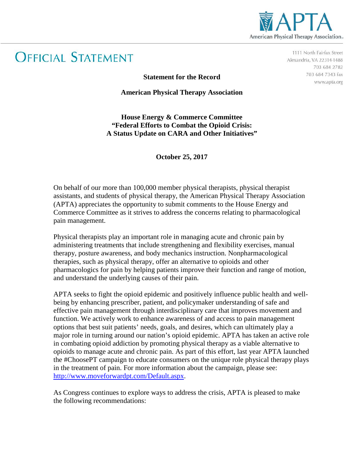

## **OFFICIAL STATEMENT**

1111 North Fairfax Street Alexandria, VA 22314-1488 703 684 2782 703 684 7343 fax www.apta.org

**Statement for the Record**

**American Physical Therapy Association**

**House Energy & Commerce Committee "Federal Efforts to Combat the Opioid Crisis: A Status Update on CARA and Other Initiatives"**

**October 25, 2017**

On behalf of our more than 100,000 member physical therapists, physical therapist assistants, and students of physical therapy, the American Physical Therapy Association (APTA) appreciates the opportunity to submit comments to the House Energy and Commerce Committee as it strives to address the concerns relating to pharmacological pain management.

Physical therapists play an important role in managing acute and chronic pain by administering treatments that include strengthening and flexibility exercises, manual therapy, posture awareness, and body mechanics instruction. Nonpharmacological therapies, such as physical therapy, offer an alternative to opioids and other pharmacologics for pain by helping patients improve their function and range of motion, and understand the underlying causes of their pain.

APTA seeks to fight the opioid epidemic and positively influence public health and wellbeing by enhancing prescriber, patient, and policymaker understanding of safe and effective pain management through interdisciplinary care that improves movement and function. We actively work to enhance awareness of and access to pain management options that best suit patients' needs, goals, and desires, which can ultimately play a major role in turning around our nation's opioid epidemic. APTA has taken an active role in combating opioid addiction by promoting physical therapy as a viable alternative to opioids to manage acute and chronic pain. As part of this effort, last year APTA launched the #ChoosePT campaign to educate consumers on the unique role physical therapy plays in the treatment of pain. For more information about the campaign, please see: [http://www.moveforwardpt.com/Default.aspx.](http://www.moveforwardpt.com/Default.aspx)

As Congress continues to explore ways to address the crisis, APTA is pleased to make the following recommendations: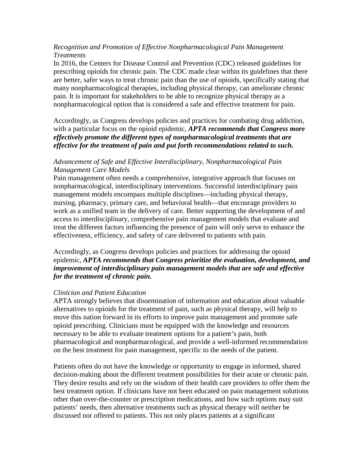## *Recognition and Promotion of Effective Nonpharmacological Pain Management Treatments*

In 2016, the Centers for Disease Control and Prevention (CDC) released guidelines for prescribing opioids for chronic pain. The CDC made clear within its guidelines that there are better, safer ways to treat chronic pain than the use of opioids, specifically stating that many nonpharmacological therapies, including physical therapy, can ameliorate chronic pain. It is important for stakeholders to be able to recognize physical therapy as a nonpharmacological option that is considered a safe and effective treatment for pain.

Accordingly, as Congress develops policies and practices for combating drug addiction, with a particular focus on the opioid epidemic, *APTA recommends that Congress more effectively promote the different types of nonpharmacological treatments that are effective for the treatment of pain and put forth recommendations related to such.*

## *Advancement of Safe and Effective Interdisciplinary, Nonpharmacological Pain Management Care Models*

Pain management often needs a comprehensive, integrative approach that focuses on nonpharmacological, interdisciplinary interventions. Successful interdisciplinary pain management models encompass multiple disciplines—including physical therapy, nursing, pharmacy, primary care, and behavioral health—that encourage providers to work as a unified team in the delivery of care. Better supporting the development of and access to interdisciplinary, comprehensive pain management models that evaluate and treat the different factors influencing the presence of pain will only serve to enhance the effectiveness, efficiency, and safety of care delivered to patients with pain.

Accordingly, as Congress develops policies and practices for addressing the opioid epidemic, *APTA recommends that Congress prioritize the evaluation, development, and improvement of interdisciplinary pain management models that are safe and effective for the treatment of chronic pain.*

## *Clinician and Patient Education*

APTA strongly believes that dissemination of information and education about valuable alternatives to opioids for the treatment of pain, such as physical therapy, will help to move this nation forward in its efforts to improve pain management and promote safe opioid prescribing. Clinicians must be equipped with the knowledge and resources necessary to be able to evaluate treatment options for a patient's pain, both pharmacological and nonpharmacological, and provide a well-informed recommendation on the best treatment for pain management, specific to the needs of the patient.

Patients often do not have the knowledge or opportunity to engage in informed, shared decision-making about the different treatment possibilities for their acute or chronic pain. They desire results and rely on the wisdom of their health care providers to offer them the best treatment option. If clinicians have not been educated on pain management solutions other than over-the-counter or prescription medications, and how such options may suit patients' needs, then alternative treatments such as physical therapy will neither be discussed nor offered to patients. This not only places patients at a significant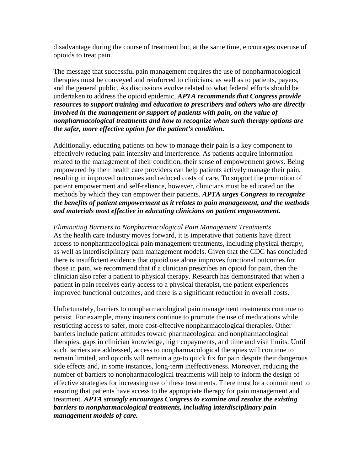disadvantage during the course of treatment but, at the same time, encourages overuse of opioids to treat pain.

The message that successful pain management requires the use of nonpharmacological therapies must be conveyed and reinforced to clinicians, as well as to patients, payers, and the general public. As discussions evolve related to what federal efforts should be undertaken to address the opioid epidemic, *APTA recommends that Congress provide resources to support training and education to prescribers and others who are directly involved in the management or support of patients with pain, on the value of nonpharmacological treatments and how to recognize when such therapy options are the safer, more effective option for the patient's condition.*

Additionally, educating patients on how to manage their pain is a key component to effectively reducing pain intensity and interference. As patients acquire information related to the management of their condition, their sense of empowerment grows. Being empowered by their health care providers can help patients actively manage their pain, resulting in improved outcomes and reduced costs of care. To support the promotion of patient empowerment and self-reliance, however, clinicians must be educated on the methods by which they can empower their patients. *APTA urges Congress to recognize the benefits of patient empowerment as it relates to pain management, and the methods and materials most effective in educating clinicians on patient empowerment.*

*Eliminating Barriers to Nonpharmacological Pain Management Treatments* As the health care industry moves forward, it is imperative that patients have direct access to nonpharmacological pain management treatments, including physical therapy, as well as interdisciplinary pain management models. Given that the CDC has concluded there is insufficient evidence that opioid use alone improves functional outcomes for those in pain, we recommend that if a clinician prescribes an opioid for pain, then the clinician also refer a patient to physical therapy. Research has demonstrated that when a patient in pain receives early access to a physical therapist, the patient experiences improved functional outcomes, and there is a significant reduction in overall costs.

Unfortunately, barriers to nonpharmacological pain management treatments continue to persist. For example, many insurers continue to promote the use of medications while restricting access to safer, more cost-effective nonpharmacological therapies. Other barriers include patient attitudes toward pharmacological and nonpharmacological therapies, gaps in clinician knowledge, high copayments, and time and visit limits. Until such barriers are addressed, access to nonpharmacological therapies will continue to remain limited, and opioids will remain a go-to quick fix for pain despite their dangerous side effects and, in some instances, long-term ineffectiveness. Moreover, reducing the number of barriers to nonpharmacological treatments will help to inform the design of effective strategies for increasing use of these treatments. There must be a commitment to ensuring that patients have access to the appropriate therapy for pain management and treatment. *APTA strongly encourages Congress to examine and resolve the existing barriers to nonpharmacological treatments, including interdisciplinary pain management models of care.*